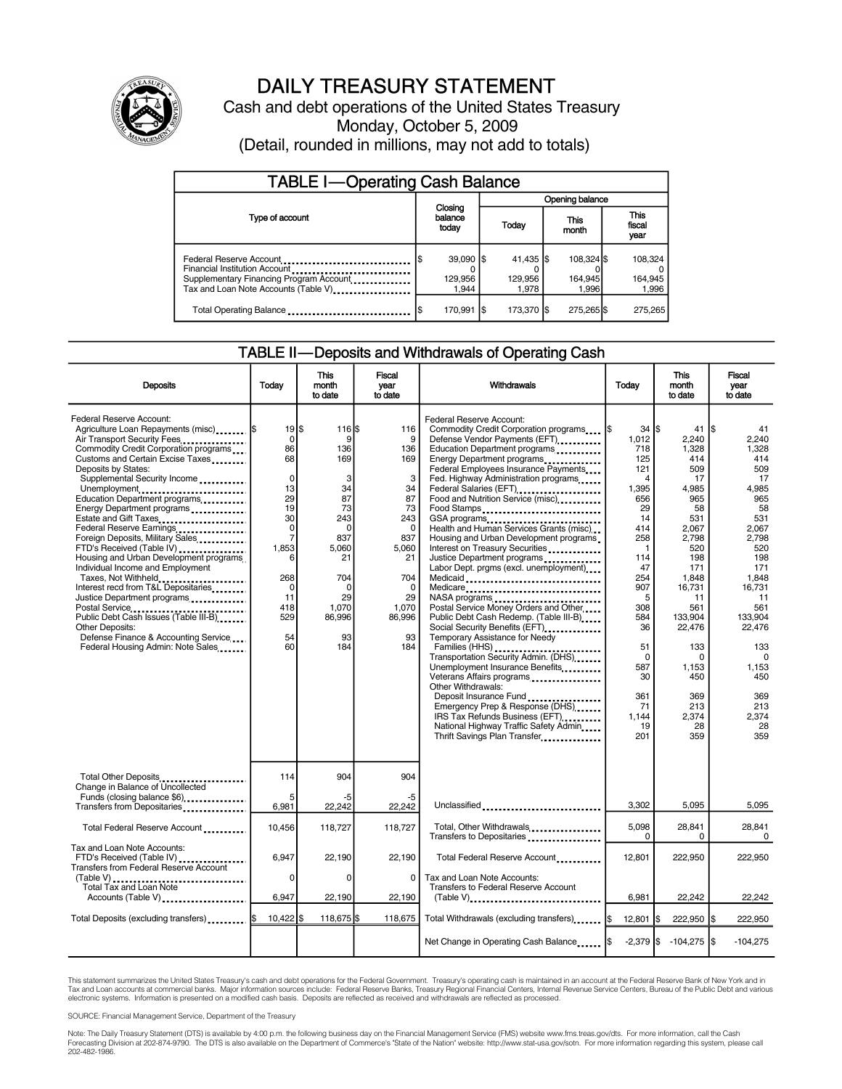

# DAILY TREASURY STATEMENT

Cash and debt operations of the United States Treasury Monday, October 5, 2009 (Detail, rounded in millions, may not add to totals)

| <b>TABLE I-Operating Cash Balance</b>                                                                                                       |                                         |                                 |                                |                             |  |  |  |
|---------------------------------------------------------------------------------------------------------------------------------------------|-----------------------------------------|---------------------------------|--------------------------------|-----------------------------|--|--|--|
|                                                                                                                                             |                                         | Opening balance                 |                                |                             |  |  |  |
| Type of account                                                                                                                             | Closing<br>balance<br>today             | Today                           | This<br>month                  |                             |  |  |  |
| Federal Reserve Account<br>Financial Institution Account<br>Supplementary Financing Program Account<br>Tax and Loan Note Accounts (Table V) | $39,090$ $\sqrt{5}$<br>129.956<br>1.944 | $41,435$ \$<br>129.956<br>1.978 | 108.324 \$<br>164.945<br>1.996 | 108,324<br>164,945<br>1,996 |  |  |  |
| Total Operating Balance                                                                                                                     | 170,991                                 | 173,370 \$                      | 275,265 \$                     | 275,265                     |  |  |  |

### TABLE II—Deposits and Withdrawals of Operating Cash

| <b>Deposits</b>                                                                                                                                                                                                                                                                                                                                                                                                                                                                                                                                                                                                                                                                                                                                                | Today                                                                                                                                                                       | <b>This</b><br>month<br>to date                                                                                                                   | Fiscal<br>vear<br>to date                                                                                                                       | Withdrawals                                                                                                                                                                                                                                                                                                                                                                                                                                                                                                                                                                                                                                                                                                                                                                                                                                                                                                                                                                                                                                                     | Today                                                                                                                                                                                                                                        | <b>This</b><br>month<br>to date                                                                                                                                                                                                          | <b>Fiscal</b><br>year<br>to date                                                                                                                                                                                                         |
|----------------------------------------------------------------------------------------------------------------------------------------------------------------------------------------------------------------------------------------------------------------------------------------------------------------------------------------------------------------------------------------------------------------------------------------------------------------------------------------------------------------------------------------------------------------------------------------------------------------------------------------------------------------------------------------------------------------------------------------------------------------|-----------------------------------------------------------------------------------------------------------------------------------------------------------------------------|---------------------------------------------------------------------------------------------------------------------------------------------------|-------------------------------------------------------------------------------------------------------------------------------------------------|-----------------------------------------------------------------------------------------------------------------------------------------------------------------------------------------------------------------------------------------------------------------------------------------------------------------------------------------------------------------------------------------------------------------------------------------------------------------------------------------------------------------------------------------------------------------------------------------------------------------------------------------------------------------------------------------------------------------------------------------------------------------------------------------------------------------------------------------------------------------------------------------------------------------------------------------------------------------------------------------------------------------------------------------------------------------|----------------------------------------------------------------------------------------------------------------------------------------------------------------------------------------------------------------------------------------------|------------------------------------------------------------------------------------------------------------------------------------------------------------------------------------------------------------------------------------------|------------------------------------------------------------------------------------------------------------------------------------------------------------------------------------------------------------------------------------------|
| Federal Reserve Account:<br>Agriculture Loan Repayments (misc)  \$<br>Air Transport Security Fees<br>Commodity Credit Corporation programs<br>Customs and Certain Excise Taxes<br>Deposits by States:<br>Supplemental Security Income<br>Unemployment<br>Education Department programs<br>Energy Department programs<br>Estate and Gift Taxes<br>Federal Reserve Earnings<br>Foreign Deposits, Military Sales<br>FTD's Received (Table IV)<br>Housing and Urban Development programs<br>Individual Income and Employment<br>Taxes, Not Withheld<br>Interest recd from T&L Depositaries<br>Justice Department programs<br>Public Debt Cash Issues (Table III-B)<br>Other Deposits:<br>Defense Finance & Accounting Service<br>Federal Housing Admin: Note Sales | $19$ $\bar{3}$<br>0<br>86<br>68<br>$\mathbf 0$<br>13<br>29<br>19<br>30<br>$\mathbf 0$<br>$\overline{7}$<br>1.853<br>6<br>268<br>$\mathbf 0$<br>11<br>418<br>529<br>54<br>60 | 116 S<br>9<br>136<br>169<br>3<br>34<br>87<br>73<br>243<br>$\Omega$<br>837<br>5.060<br>21<br>704<br>$\Omega$<br>29<br>1,070<br>86,996<br>93<br>184 | 116<br>9<br>136<br>169<br>3<br>34<br>87<br>73<br>243<br>$\Omega$<br>837<br>5,060<br>21<br>704<br>$\Omega$<br>29<br>1,070<br>86,996<br>93<br>184 | Federal Reserve Account:<br>Commodity Credit Corporation programs<br>Defense Vendor Payments (EFT)<br>Education Department programs<br>Energy Department programs<br>Federal Employees Insurance Payments<br>Fed. Highway Administration programs<br>Federal Salaries (EFT)<br><br>Food and Nutrition Service (misc)<br>Food Stamps<br>GSA programs<br>Health and Human Services Grants (misc)<br>Housing and Urban Development programs<br>Interest on Treasury Securities<br>Justice Department programs<br>Labor Dept. prgms (excl. unemployment).<br>Medicaid<br>Medicare<br>NASA programs<br>Postal Service Money Orders and Other<br>Public Debt Cash Redemp. (Table III-B)<br>Social Security Benefits (EFT)<br>Temporary Assistance for Needy<br>Transportation Security Admin. (DHS)<br>Unemployment Insurance Benefits<br>Veterans Affairs programs<br><br>Other Withdrawals:<br>Deposit Insurance Fund<br>Emergency Prep & Response (DHS)<br>IRS Tax Refunds Business (EFT)<br>National Highway Traffic Safety Admin<br>Thrift Savings Plan Transfer | $34$ $\overline{\text{}}$<br>1.012<br>718<br>125<br>121<br>4<br>1,395<br>656<br>29<br>14<br>414<br>258<br>$\mathbf{1}$<br>114<br>47<br>254<br>907<br>5<br>308<br>584<br>36<br>51<br>$\Omega$<br>587<br>30<br>361<br>71<br>1.144<br>19<br>201 | 41<br>2.240<br>1,328<br>414<br>509<br>17<br>4,985<br>965<br>58<br>531<br>2,067<br>2.798<br>520<br>198<br>171<br>1,848<br>16,731<br>11<br>561<br>133,904<br>22,476<br>133<br>$\Omega$<br>1,153<br>450<br>369<br>213<br>2,374<br>28<br>359 | 41<br>2.240<br>1.328<br>414<br>509<br>17<br>4,985<br>965<br>58<br>531<br>2.067<br>2.798<br>520<br>198<br>171<br>1,848<br>16,731<br>11<br>561<br>133.904<br>22,476<br>133<br>$\Omega$<br>1,153<br>450<br>369<br>213<br>2,374<br>28<br>359 |
| Total Other Deposits<br>Change in Balance of Uncollected                                                                                                                                                                                                                                                                                                                                                                                                                                                                                                                                                                                                                                                                                                       | 114                                                                                                                                                                         | 904                                                                                                                                               | 904                                                                                                                                             |                                                                                                                                                                                                                                                                                                                                                                                                                                                                                                                                                                                                                                                                                                                                                                                                                                                                                                                                                                                                                                                                 |                                                                                                                                                                                                                                              |                                                                                                                                                                                                                                          |                                                                                                                                                                                                                                          |
| Funds (closing balance \$6)<br>Transfers from Depositaries                                                                                                                                                                                                                                                                                                                                                                                                                                                                                                                                                                                                                                                                                                     | 5<br>6,981                                                                                                                                                                  | -5<br>22,242                                                                                                                                      | -5<br>22,242                                                                                                                                    | Unclassified                                                                                                                                                                                                                                                                                                                                                                                                                                                                                                                                                                                                                                                                                                                                                                                                                                                                                                                                                                                                                                                    | 3,302                                                                                                                                                                                                                                        | 5,095                                                                                                                                                                                                                                    | 5,095                                                                                                                                                                                                                                    |
| Total Federal Reserve Account                                                                                                                                                                                                                                                                                                                                                                                                                                                                                                                                                                                                                                                                                                                                  | 10,456                                                                                                                                                                      | 118,727                                                                                                                                           | 118,727                                                                                                                                         | Total, Other Withdrawals<br>Transfers to Depositaries                                                                                                                                                                                                                                                                                                                                                                                                                                                                                                                                                                                                                                                                                                                                                                                                                                                                                                                                                                                                           | 5,098<br>0                                                                                                                                                                                                                                   | 28,841<br>0                                                                                                                                                                                                                              | 28,841<br>0                                                                                                                                                                                                                              |
| Tax and Loan Note Accounts:<br>FTD's Received (Table IV)<br><b>Transfers from Federal Reserve Account</b><br>(Table V)                                                                                                                                                                                                                                                                                                                                                                                                                                                                                                                                                                                                                                         | 6,947<br>0                                                                                                                                                                  | 22,190<br>$\Omega$                                                                                                                                | 22,190<br>0                                                                                                                                     | Total Federal Reserve Account<br>Tax and Loan Note Accounts:                                                                                                                                                                                                                                                                                                                                                                                                                                                                                                                                                                                                                                                                                                                                                                                                                                                                                                                                                                                                    | 12,801                                                                                                                                                                                                                                       | 222,950                                                                                                                                                                                                                                  | 222,950                                                                                                                                                                                                                                  |
| Total Tax and Loan Note<br>Accounts (Table V)                                                                                                                                                                                                                                                                                                                                                                                                                                                                                                                                                                                                                                                                                                                  | 6,947                                                                                                                                                                       | 22,190                                                                                                                                            | 22,190                                                                                                                                          | <b>Transfers to Federal Reserve Account</b><br>$(Table V)$                                                                                                                                                                                                                                                                                                                                                                                                                                                                                                                                                                                                                                                                                                                                                                                                                                                                                                                                                                                                      | 6,981                                                                                                                                                                                                                                        | 22,242                                                                                                                                                                                                                                   | 22,242                                                                                                                                                                                                                                   |
| Total Deposits (excluding transfers)  \$                                                                                                                                                                                                                                                                                                                                                                                                                                                                                                                                                                                                                                                                                                                       | $10.422$ S                                                                                                                                                                  | 118,675 \$                                                                                                                                        | 118,675                                                                                                                                         | Total Withdrawals (excluding transfers)                                                                                                                                                                                                                                                                                                                                                                                                                                                                                                                                                                                                                                                                                                                                                                                                                                                                                                                                                                                                                         | $12,801$ $\vert$ \$                                                                                                                                                                                                                          | 222,950 \$                                                                                                                                                                                                                               | 222,950                                                                                                                                                                                                                                  |
|                                                                                                                                                                                                                                                                                                                                                                                                                                                                                                                                                                                                                                                                                                                                                                |                                                                                                                                                                             |                                                                                                                                                   |                                                                                                                                                 | Net Change in Operating Cash Balance  \$                                                                                                                                                                                                                                                                                                                                                                                                                                                                                                                                                                                                                                                                                                                                                                                                                                                                                                                                                                                                                        | $-2,379$ \$                                                                                                                                                                                                                                  | $-104,275$ \$                                                                                                                                                                                                                            | $-104,275$                                                                                                                                                                                                                               |

This statement summarizes the United States Treasury's cash and debt operations for the Federal Government. Treasury's operating cash is maintained in an account at the Federal Reserve Bank of New York and in Tax and Loan accounts at commercial banks. Major information sources include: Federal Reserve Banks, Treasury Regional Financial Centers, Internal Revenue Service Centers, Bureau of the Public Debt and various<br>electronic s

SOURCE: Financial Management Service, Department of the Treasury

Note: The Daily Treasury Statement (DTS) is available by 4:00 p.m. the following business day on the Financial Management Service (FMS) website www.fms.treas.gov/dts. For more information, call the Cash<br>Forecasting Divisio 202-482-1986.